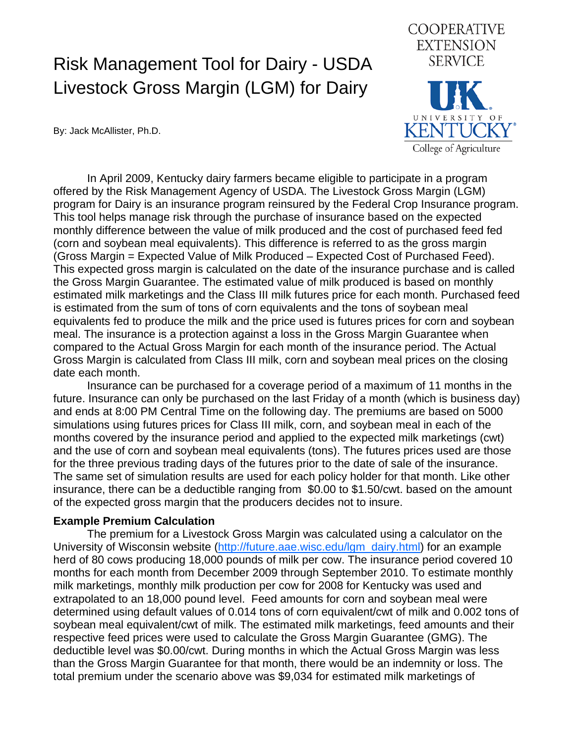## Risk Management Tool for Dairy - USDA Livestock Gross Margin (LGM) for Dairy

**EXTENSION SERVICE KENTUCKY** College of Agriculture

**COOPERATIVE** 

By: Jack McAllister, Ph.D.

In April 2009, Kentucky dairy farmers became eligible to participate in a program offered by the Risk Management Agency of USDA. The Livestock Gross Margin (LGM) program for Dairy is an insurance program reinsured by the Federal Crop Insurance program. This tool helps manage risk through the purchase of insurance based on the expected monthly difference between the value of milk produced and the cost of purchased feed fed (corn and soybean meal equivalents). This difference is referred to as the gross margin (Gross Margin = Expected Value of Milk Produced – Expected Cost of Purchased Feed). This expected gross margin is calculated on the date of the insurance purchase and is called the Gross Margin Guarantee. The estimated value of milk produced is based on monthly estimated milk marketings and the Class III milk futures price for each month. Purchased feed is estimated from the sum of tons of corn equivalents and the tons of soybean meal equivalents fed to produce the milk and the price used is futures prices for corn and soybean meal. The insurance is a protection against a loss in the Gross Margin Guarantee when compared to the Actual Gross Margin for each month of the insurance period. The Actual Gross Margin is calculated from Class III milk, corn and soybean meal prices on the closing date each month.

Insurance can be purchased for a coverage period of a maximum of 11 months in the future. Insurance can only be purchased on the last Friday of a month (which is business day) and ends at 8:00 PM Central Time on the following day. The premiums are based on 5000 simulations using futures prices for Class III milk, corn, and soybean meal in each of the months covered by the insurance period and applied to the expected milk marketings (cwt) and the use of corn and soybean meal equivalents (tons). The futures prices used are those for the three previous trading days of the futures prior to the date of sale of the insurance. The same set of simulation results are used for each policy holder for that month. Like other insurance, there can be a deductible ranging from \$0.00 to \$1.50/cwt. based on the amount of the expected gross margin that the producers decides not to insure.

## **Example Premium Calculation**

The premium for a Livestock Gross Margin was calculated using a calculator on the University of Wisconsin website [\(http://future.aae.wisc.edu/lgm\\_dairy.html\)](http://future.aae.wisc.edu/lgm_dairy.html) for an example herd of 80 cows producing 18,000 pounds of milk per cow. The insurance period covered 10 months for each month from December 2009 through September 2010. To estimate monthly milk marketings, monthly milk production per cow for 2008 for Kentucky was used and extrapolated to an 18,000 pound level. Feed amounts for corn and soybean meal were determined using default values of 0.014 tons of corn equivalent/cwt of milk and 0.002 tons of soybean meal equivalent/cwt of milk. The estimated milk marketings, feed amounts and their respective feed prices were used to calculate the Gross Margin Guarantee (GMG). The deductible level was \$0.00/cwt. During months in which the Actual Gross Margin was less than the Gross Margin Guarantee for that month, there would be an indemnity or loss. The total premium under the scenario above was \$9,034 for estimated milk marketings of